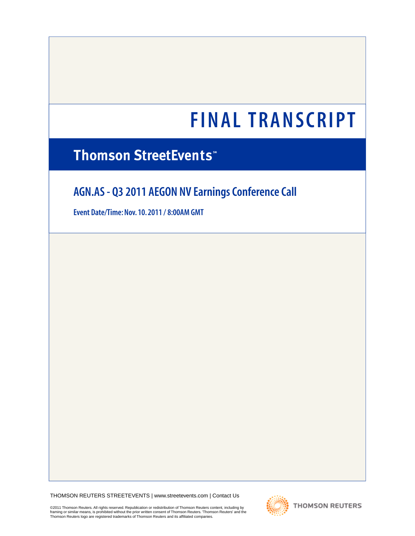# **Thomson StreetEvents**

# **AGN.AS - Q3 2011 AEGON NV Earnings Conference Call**

**Event Date/Time: Nov. 10. 2011 / 8:00AM GMT** 

THOMSON REUTERS STREETEVENTS | [www.streetevents.com](http://www.streetevents.com) | [Contact Us](http://www010.streetevents.com/contact.asp)

©2011 Thomson Reuters. All rights reserved. Republication or redistribution of Thomson Reuters content, including by framing or similar means, is prohibited without the prior written consent of Thomson Reuters. 'Thomson Reuters' and the<br>Thomson Reuters logo are registered trademarks of Thomson Reuters and its affiliated companies.

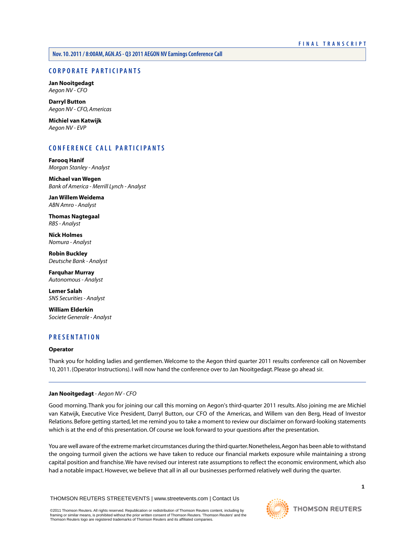**Nov. 10. 2011 / 8:00AM, AGN.AS - Q3 2011 AEGON NV Earnings Conference Call** 

# **CORPORATE PARTICIPANTS**

**[Jan Nooitgedagt](#page-1-0)**  *Aegon NV - CFO* 

**[Darryl Button](#page-6-0)**  *Aegon NV - CFO, Americas* 

**[Michiel van Katwijk](#page-7-0)**  *Aegon NV - EVP* 

# **CONFERENCE CALL PARTICIPANTS**

**[Farooq Hanif](#page-5-0)**  *Morgan Stanley - Analyst* 

**[Michael van Wegen](#page-7-1)**  *Bank of America - Merrill Lynch - Analyst* 

**[Jan Willem Weidema](#page-8-0)**  *ABN Amro - Analyst* 

**[Thomas Nagtegaal](#page-9-0)**  *RBS - Analyst* 

**[Nick Holmes](#page-10-0)**  *Nomura - Analyst* 

**[Robin Buckley](#page-12-0)**  *Deutsche Bank - Analyst* 

**[Farquhar Murray](#page-13-0)**  *Autonomous - Analyst* 

**[Lemer Salah](#page-15-0)**  *SNS Securities - Analyst* 

**[William Elderkin](#page-15-1)**  *Societe Generale - Analyst* 

# **PRESENTATION**

# <span id="page-1-0"></span>**Operator**

Thank you for holding ladies and gentlemen. Welcome to the Aegon third quarter 2011 results conference call on November 10, 2011. (Operator Instructions). I will now hand the conference over to Jan Nooitgedagt. Please go ahead sir.

# **Jan Nooitgedagt** *- Aegon NV - CFO*

Good morning. Thank you for joining our call this morning on Aegon's third-quarter 2011 results. Also joining me are Michiel van Katwijk, Executive Vice President, Darryl Button, our CFO of the Americas, and Willem van den Berg, Head of Investor Relations. Before getting started, let me remind you to take a moment to review our disclaimer on forward-looking statements which is at the end of this presentation. Of course we look forward to your questions after the presentation.

You are well aware of the extreme market circumstances during the third quarter. Nonetheless, Aegon has been able to withstand the ongoing turmoil given the actions we have taken to reduce our financial markets exposure while maintaining a strong capital position and franchise. We have revised our interest rate assumptions to reflect the economic environment, which also had a notable impact. However, we believe that all in all our businesses performed relatively well during the quarter.

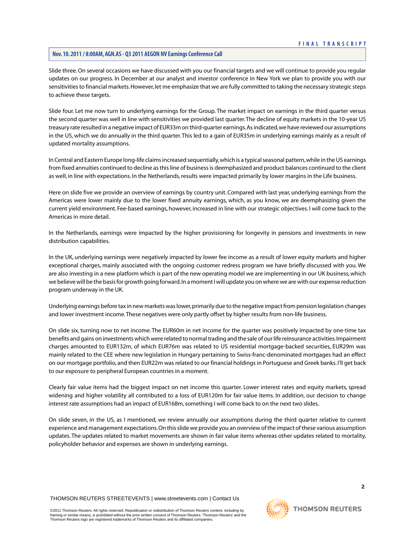Slide three. On several occasions we have discussed with you our financial targets and we will continue to provide you regular updates on our progress. In December at our analyst and investor conference in New York we plan to provide you with our sensitivities to financial markets. However, let me emphasize that we are fully committed to taking the necessary strategic steps to achieve these targets.

Slide four. Let me now turn to underlying earnings for the Group. The market impact on earnings in the third quarter versus the second quarter was well in line with sensitivities we provided last quarter. The decline of equity markets in the 10-year US treasury rate resulted in a negative impact of EUR33m on third-quarter earnings. As indicated, we have reviewed our assumptions in the US, which we do annually in the third quarter. This led to a gain of EUR35m in underlying earnings mainly as a result of updated mortality assumptions.

In Central and Eastern Europe long-life claims increased sequentially, which is a typical seasonal pattern, while in the US earnings from fixed annuities continued to decline as this line of business is deemphasized and product balances continued to the client as well, in line with expectations. In the Netherlands, results were impacted primarily by lower margins in the Life business.

Here on slide five we provide an overview of earnings by country unit. Compared with last year, underlying earnings from the Americas were lower mainly due to the lower fixed annuity earnings, which, as you know, we are deemphasizing given the current yield environment. Fee-based earnings, however, increased in line with our strategic objectives. I will come back to the Americas in more detail.

In the Netherlands, earnings were impacted by the higher provisioning for longevity in pensions and investments in new distribution capabilities.

In the UK, underlying earnings were negatively impacted by lower fee income as a result of lower equity markets and higher exceptional charges, mainly associated with the ongoing customer redress program we have briefly discussed with you. We are also investing in a new platform which is part of the new operating model we are implementing in our UK business, which we believe will be the basis for growth going forward. In a moment I will update you on where we are with our expense reduction program underway in the UK.

Underlying earnings before tax in new markets was lower, primarily due to the negative impact from pension legislation changes and lower investment income. These negatives were only partly offset by higher results from non-life business.

On slide six, turning now to net income. The EUR60m in net income for the quarter was positively impacted by one-time tax benefits and gains on investments which were related to normal trading and the sale of our life reinsurance activities. Impairment charges amounted to EUR132m, of which EUR76m was related to US residential mortgage-backed securities, EUR29m was mainly related to the CEE where new legislation in Hungary pertaining to Swiss-franc-denominated mortgages had an effect on our mortgage portfolio, and then EUR22m was related to our financial holdings in Portuguese and Greek banks. I'll get back to our exposure to peripheral European countries in a moment.

Clearly fair value items had the biggest impact on net income this quarter. Lower interest rates and equity markets, spread widening and higher volatility all contributed to a loss of EUR120m for fair value items. In addition, our decision to change interest rate assumptions had an impact of EUR168m, something I will come back to on the next two slides.

On slide seven, in the US, as I mentioned, we review annually our assumptions during the third quarter relative to current experience and management expectations. On this slide we provide you an overview of the impact of these various assumption updates. The updates related to market movements are shown in fair value items whereas other updates related to mortality, policyholder behavior and expenses are shown in underlying earnings.

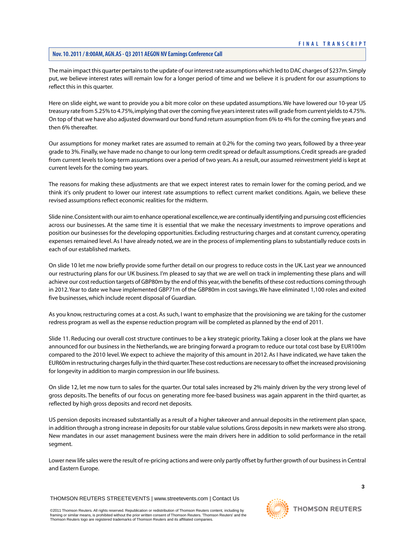The main impact this quarter pertains to the update of our interest rate assumptions which led to DAC charges of \$237m. Simply put, we believe interest rates will remain low for a longer period of time and we believe it is prudent for our assumptions to reflect this in this quarter.

Here on slide eight, we want to provide you a bit more color on these updated assumptions. We have lowered our 10-year US treasury rate from 5.25% to 4.75%, implying that over the coming five years interest rates will grade from current yields to 4.75%. On top of that we have also adjusted downward our bond fund return assumption from 6% to 4% for the coming five years and then 6% thereafter.

Our assumptions for money market rates are assumed to remain at 0.2% for the coming two years, followed by a three-year grade to 3%. Finally, we have made no change to our long-term credit spread or default assumptions. Credit spreads are graded from current levels to long-term assumptions over a period of two years. As a result, our assumed reinvestment yield is kept at current levels for the coming two years.

The reasons for making these adjustments are that we expect interest rates to remain lower for the coming period, and we think it's only prudent to lower our interest rate assumptions to reflect current market conditions. Again, we believe these revised assumptions reflect economic realities for the midterm.

Slide nine. Consistent with our aim to enhance operational excellence, we are continually identifying and pursuing cost efficiencies across our businesses. At the same time it is essential that we make the necessary investments to improve operations and position our businesses for the developing opportunities. Excluding restructuring charges and at constant currency, operating expenses remained level. As I have already noted, we are in the process of implementing plans to substantially reduce costs in each of our established markets.

On slide 10 let me now briefly provide some further detail on our progress to reduce costs in the UK. Last year we announced our restructuring plans for our UK business. I'm pleased to say that we are well on track in implementing these plans and will achieve our cost reduction targets of GBP80m by the end of this year, with the benefits of these cost reductions coming through in 2012.Year to date we have implemented GBP71m of the GBP80m in cost savings.We have eliminated 1,100 roles and exited five businesses, which include recent disposal of Guardian.

As you know, restructuring comes at a cost. As such, I want to emphasize that the provisioning we are taking for the customer redress program as well as the expense reduction program will be completed as planned by the end of 2011.

Slide 11. Reducing our overall cost structure continues to be a key strategic priority. Taking a closer look at the plans we have announced for our business in the Netherlands, we are bringing forward a program to reduce our total cost base by EUR100m compared to the 2010 level. We expect to achieve the majority of this amount in 2012. As I have indicated, we have taken the EUR60m in restructuring charges fully in the third quarter.These cost reductions are necessary to offset the increased provisioning for longevity in addition to margin compression in our life business.

On slide 12, let me now turn to sales for the quarter. Our total sales increased by 2% mainly driven by the very strong level of gross deposits. The benefits of our focus on generating more fee-based business was again apparent in the third quarter, as reflected by high gross deposits and record net deposits.

US pension deposits increased substantially as a result of a higher takeover and annual deposits in the retirement plan space, in addition through a strong increase in deposits for our stable value solutions. Gross deposits in new markets were also strong. New mandates in our asset management business were the main drivers here in addition to solid performance in the retail segment.

Lower new life sales were the result of re-pricing actions and were only partly offset by further growth of our business in Central and Eastern Europe.

THOMSON REUTERS STREETEVENTS | [www.streetevents.com](http://www.streetevents.com) | [Contact Us](http://www010.streetevents.com/contact.asp)

©2011 Thomson Reuters. All rights reserved. Republication or redistribution of Thomson Reuters content, including by<br>framing or similar means, is prohibited without the prior written consent of Thomson Reuters. 'Thomson Re Thomson Reuters logo are registered trademarks of Thomson Reuters and its affiliated companies.

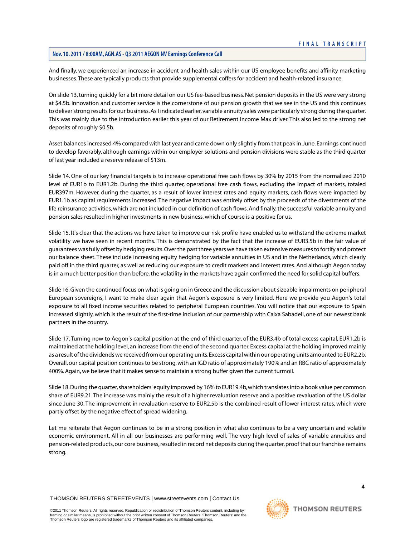And finally, we experienced an increase in accident and health sales within our US employee benefits and affinity marketing businesses.These are typically products that provide supplemental coffers for accident and health-related insurance.

On slide 13, turning quickly for a bit more detail on our US fee-based business. Net pension deposits in the US were very strong at \$4.5b. Innovation and customer service is the cornerstone of our pension growth that we see in the US and this continues to deliver strong results for our business. As I indicated earlier, variable annuity sales were particularly strong during the quarter. This was mainly due to the introduction earlier this year of our Retirement Income Max driver. This also led to the strong net deposits of roughly \$0.5b.

Asset balances increased 4% compared with last year and came down only slightly from that peak in June. Earnings continued to develop favorably, although earnings within our employer solutions and pension divisions were stable as the third quarter of last year included a reserve release of \$13m.

Slide 14. One of our key financial targets is to increase operational free cash flows by 30% by 2015 from the normalized 2010 level of EUR1b to EUR1.2b. During the third quarter, operational free cash flows, excluding the impact of markets, totaled EUR397m. However, during the quarter, as a result of lower interest rates and equity markets, cash flows were impacted by EUR1.1b as capital requirements increased. The negative impact was entirely offset by the proceeds of the divestments of the life reinsurance activities, which are not included in our definition of cash flows. And finally, the successful variable annuity and pension sales resulted in higher investments in new business, which of course is a positive for us.

Slide 15. It's clear that the actions we have taken to improve our risk profile have enabled us to withstand the extreme market volatility we have seen in recent months. This is demonstrated by the fact that the increase of EUR3.5b in the fair value of guarantees was fully offset by hedging results. Over the past three years we have taken extensive measures to fortify and protect our balance sheet. These include increasing equity hedging for variable annuities in US and in the Netherlands, which clearly paid off in the third quarter, as well as reducing our exposure to credit markets and interest rates. And although Aegon today is in a much better position than before, the volatility in the markets have again confirmed the need for solid capital buffers.

Slide 16. Given the continued focus on what is going on in Greece and the discussion about sizeable impairments on peripheral European sovereigns, I want to make clear again that Aegon's exposure is very limited. Here we provide you Aegon's total exposure to all fixed income securities related to peripheral European countries. You will notice that our exposure to Spain increased slightly, which is the result of the first-time inclusion of our partnership with Caixa Sabadell, one of our newest bank partners in the country.

Slide 17. Turning now to Aegon's capital position at the end of third quarter, of the EUR3.4b of total excess capital, EUR1.2b is maintained at the holding level, an increase from the end of the second quarter. Excess capital at the holding improved mainly as a result of the dividends we received from our operating units. Excess capital within our operating units amounted to EUR2.2b. Overall, our capital position continues to be strong, with an IGD ratio of approximately 190% and an RBC ratio of approximately 400%. Again, we believe that it makes sense to maintain a strong buffer given the current turmoil.

Slide 18. During the quarter, shareholders' equity improved by 16% to EUR19.4b, which translates into a book value per common share of EUR9.21. The increase was mainly the result of a higher revaluation reserve and a positive revaluation of the US dollar since June 30. The improvement in revaluation reserve to EUR2.5b is the combined result of lower interest rates, which were partly offset by the negative effect of spread widening.

Let me reiterate that Aegon continues to be in a strong position in what also continues to be a very uncertain and volatile economic environment. All in all our businesses are performing well. The very high level of sales of variable annuities and pension-related products, our core business, resulted in record net deposits during the quarter, proof that our franchise remains strong.

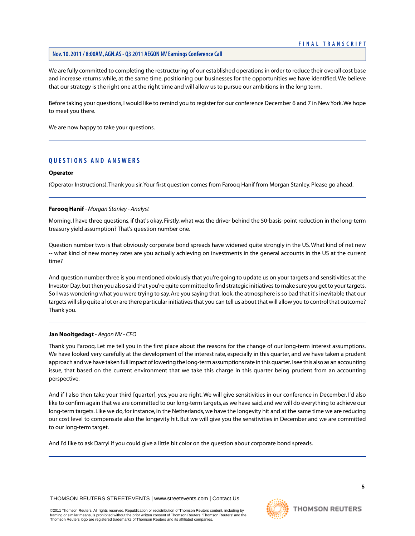We are fully committed to completing the restructuring of our established operations in order to reduce their overall cost base and increase returns while, at the same time, positioning our businesses for the opportunities we have identified. We believe that our strategy is the right one at the right time and will allow us to pursue our ambitions in the long term.

Before taking your questions, I would like to remind you to register for our conference December 6 and 7 in New York.We hope to meet you there.

We are now happy to take your questions.

# **QUESTIONS AND ANSWERS**

#### **Operator**

<span id="page-5-0"></span>(Operator Instructions).Thank you sir.Your first question comes from Farooq Hanif from Morgan Stanley. Please go ahead.

# **Farooq Hanif** *- Morgan Stanley - Analyst*

Morning. I have three questions, if that's okay. Firstly, what was the driver behind the 50-basis-point reduction in the long-term treasury yield assumption? That's question number one.

Question number two is that obviously corporate bond spreads have widened quite strongly in the US. What kind of net new -- what kind of new money rates are you actually achieving on investments in the general accounts in the US at the current time?

And question number three is you mentioned obviously that you're going to update us on your targets and sensitivities at the Investor Day, but then you also said that you're quite committed to find strategic initiatives to make sure you get to your targets. So I was wondering what you were trying to say. Are you saying that, look, the atmosphere is so bad that it's inevitable that our targets will slip quite a lot or are there particular initiatives that you can tell us about that will allow you to control that outcome? Thank you.

# **Jan Nooitgedagt** *- Aegon NV - CFO*

Thank you Farooq. Let me tell you in the first place about the reasons for the change of our long-term interest assumptions. We have looked very carefully at the development of the interest rate, especially in this quarter, and we have taken a prudent approach and we have taken full impact of lowering the long-term assumptions rate in this quarter. I see this also as an accounting issue, that based on the current environment that we take this charge in this quarter being prudent from an accounting perspective.

And if I also then take your third [quarter], yes, you are right. We will give sensitivities in our conference in December. I'd also like to confirm again that we are committed to our long-term targets, as we have said, and we will do everything to achieve our long-term targets. Like we do, for instance, in the Netherlands, we have the longevity hit and at the same time we are reducing our cost level to compensate also the longevity hit. But we will give you the sensitivities in December and we are committed to our long-term target.

And I'd like to ask Darryl if you could give a little bit color on the question about corporate bond spreads.

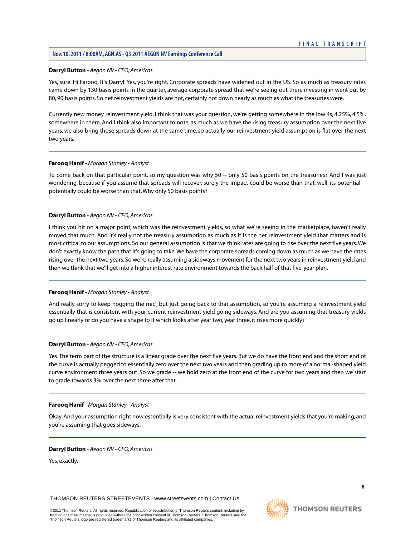# <span id="page-6-0"></span>**Darryl Button** *- Aegon NV - CFO, Americas*

Yes, sure. Hi Farooq. It's Darryl. Yes, you're right. Corporate spreads have widened out in the US. So as much as treasury rates came down by 130 basis points in the quarter, average corporate spread that we're seeing out there investing in went out by 80, 90 basis points. So net reinvestment yields are not, certainly not down nearly as much as what the treasuries were.

Currently new money reinvestment yield, I think that was your question, we're getting somewhere in the low 4s, 4.25%, 4.5%, somewhere in there. And I think also important to note, as much as we have the rising treasury assumption over the next five years, we also bring those spreads down at the same time, so actually our reinvestment yield assumption is flat over the next two years.

#### **Farooq Hanif** *- Morgan Stanley - Analyst*

To come back on that particular point, so my question was why 50 -- only 50 basis points on the treasuries? And I was just wondering, because if you assume that spreads will recover, surely the impact could be worse than that, well, its potential potentially could be worse than that.Why only 50 basis points?

#### **Darryl Button** *- Aegon NV - CFO, Americas*

I think you hit on a major point, which was the reinvestment yields, so what we're seeing in the marketplace, haven't really moved that much. And it's really not the treasury assumption as much as it is the net reinvestment yield that matters and is most critical to our assumptions. So our general assumption is that we think rates are going to rise over the next five years. We don't exactly know the path that it's going to take.We have the corporate spreads coming down as much as we have the rates rising over the next two years. So we're really assuming a sideways movement for the next two years in reinvestment yield and then we think that we'll get into a higher interest rate environment towards the back half of that five-year plan.

# **Farooq Hanif** *- Morgan Stanley - Analyst*

And really sorry to keep hogging the mic', but just going back to that assumption, so you're assuming a reinvestment yield essentially that is consistent with your current reinvestment yield going sideways. And are you assuming that treasury yields go up linearly or do you have a shape to it which looks after year two, year three, it rises more quickly?

# **Darryl Button** *- Aegon NV - CFO, Americas*

Yes. The term part of the structure is a linear grade over the next five years. But we do have the front end and the short end of the curve is actually pegged to essentially zero over the next two years and then grading up to more of a normal-shaped yield curve environment three years out. So we grade -- we hold zero at the front end of the curve for two years and then we start to grade towards 3% over the next three after that.

#### **Farooq Hanif** *- Morgan Stanley - Analyst*

Okay. And your assumption right now essentially is very consistent with the actual reinvestment yields that you're making, and you're assuming that goes sideways.

#### **Darryl Button** *- Aegon NV - CFO, Americas*

Yes, exactly.

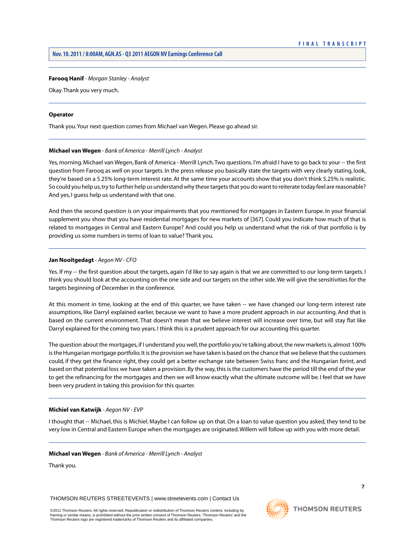# **Farooq Hanif** *- Morgan Stanley - Analyst*

Okay.Thank you very much.

# **Operator**

<span id="page-7-1"></span>Thank you.Your next question comes from Michael van Wegen. Please go ahead sir.

# **Michael van Wegen** *- Bank of America - Merrill Lynch - Analyst*

Yes, morning. Michael van Wegen, Bank of America - Merrill Lynch.Two questions. I'm afraid I have to go back to your -- the first question from Farooq as well on your targets. In the press release you basically state the targets with very clearly stating, look, they're based on a 5.25% long-term interest rate. At the same time your accounts show that you don't think 5.25% is realistic. So could you help us, try to further help us understand why these targets that you do want to reiterate today feel are reasonable? And yes, I guess help us understand with that one.

And then the second question is on your impairments that you mentioned for mortgages in Eastern Europe. In your financial supplement you show that you have residential mortgages for new markets of [367]. Could you indicate how much of that is related to mortgages in Central and Eastern Europe? And could you help us understand what the risk of that portfolio is by providing us some numbers in terms of loan to value? Thank you.

# **Jan Nooitgedagt** *- Aegon NV - CFO*

Yes. If my -- the first question about the targets, again I'd like to say again is that we are committed to our long-term targets. I think you should look at the accounting on the one side and our targets on the other side. We will give the sensitivities for the targets beginning of December in the conference.

At this moment in time, looking at the end of this quarter, we have taken -- we have changed our long-term interest rate assumptions, like Darryl explained earlier, because we want to have a more prudent approach in our accounting. And that is based on the current environment. That doesn't mean that we believe interest will increase over time, but will stay flat like Darryl explained for the coming two years. I think this is a prudent approach for our accounting this quarter.

<span id="page-7-0"></span>The question about the mortgages, if I understand you well, the portfolio you're talking about, the new markets is, almost 100% is the Hungarian mortgage portfolio. It is the provision we have taken is based on the chance that we believe that the customers could, if they get the finance right, they could get a better exchange rate between Swiss franc and the Hungarian forint, and based on that potential loss we have taken a provision. By the way, this is the customers have the period till the end of the year to get the refinancing for the mortgages and then we will know exactly what the ultimate outcome will be. I feel that we have been very prudent in taking this provision for this quarter.

# **Michiel van Katwijk** *- Aegon NV - EVP*

I thought that -- Michael, this is Michiel. Maybe I can follow up on that. On a loan to value question you asked, they tend to be very low in Central and Eastern Europe when the mortgages are originated.Willem will follow up with you with more detail.

#### **Michael van Wegen** *- Bank of America - Merrill Lynch - Analyst*

Thank you.

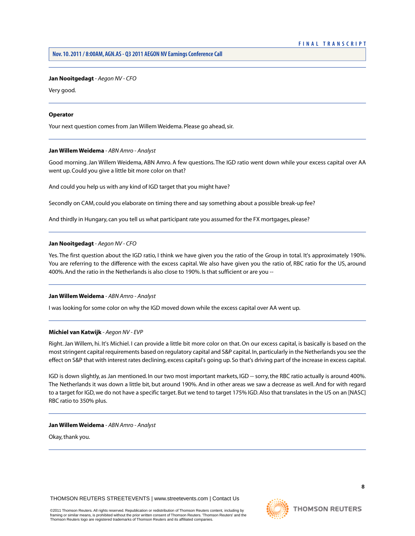# **Jan Nooitgedagt** *- Aegon NV - CFO*

Very good.

# **Operator**

<span id="page-8-0"></span>Your next question comes from Jan Willem Weidema. Please go ahead, sir.

#### **Jan Willem Weidema** *- ABN Amro - Analyst*

Good morning. Jan Willem Weidema, ABN Amro. A few questions. The IGD ratio went down while your excess capital over AA went up. Could you give a little bit more color on that?

And could you help us with any kind of IGD target that you might have?

Secondly on CAM, could you elaborate on timing there and say something about a possible break-up fee?

And thirdly in Hungary, can you tell us what participant rate you assumed for the FX mortgages, please?

#### **Jan Nooitgedagt** *- Aegon NV - CFO*

Yes. The first question about the IGD ratio, I think we have given you the ratio of the Group in total. It's approximately 190%. You are referring to the difference with the excess capital. We also have given you the ratio of, RBC ratio for the US, around 400%. And the ratio in the Netherlands is also close to 190%. Is that sufficient or are you -

#### **Jan Willem Weidema** *- ABN Amro - Analyst*

I was looking for some color on why the IGD moved down while the excess capital over AA went up.

# **Michiel van Katwijk** *- Aegon NV - EVP*

Right. Jan Willem, hi. It's Michiel. I can provide a little bit more color on that. On our excess capital, is basically is based on the most stringent capital requirements based on regulatory capital and S&P capital. In, particularly in the Netherlands you see the effect on S&P that with interest rates declining, excess capital's going up. So that's driving part of the increase in excess capital.

IGD is down slightly, as Jan mentioned. In our two most important markets, IGD -- sorry, the RBC ratio actually is around 400%. The Netherlands it was down a little bit, but around 190%. And in other areas we saw a decrease as well. And for with regard to a target for IGD, we do not have a specific target. But we tend to target 175% IGD. Also that translates in the US on an [NASC] RBC ratio to 350% plus.

# **Jan Willem Weidema** *- ABN Amro - Analyst*

Okay, thank you.

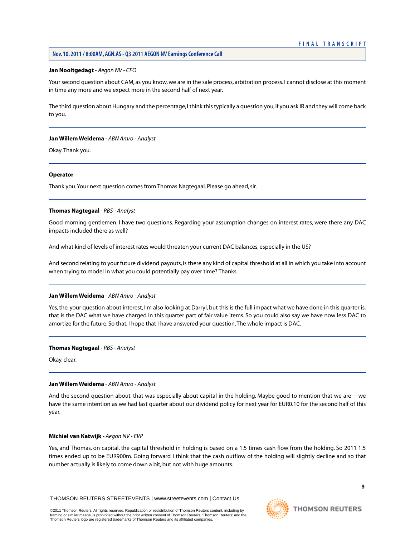# **Jan Nooitgedagt** *- Aegon NV - CFO*

Your second question about CAM, as you know, we are in the sale process, arbitration process. I cannot disclose at this moment in time any more and we expect more in the second half of next year.

The third question about Hungary and the percentage, I think this typically a question you, if you ask IR and they will come back to you.

#### **Jan Willem Weidema** *- ABN Amro - Analyst*

Okay.Thank you.

#### **Operator**

<span id="page-9-0"></span>Thank you.Your next question comes from Thomas Nagtegaal. Please go ahead, sir.

#### **Thomas Nagtegaal** *- RBS - Analyst*

Good morning gentlemen. I have two questions. Regarding your assumption changes on interest rates, were there any DAC impacts included there as well?

And what kind of levels of interest rates would threaten your current DAC balances, especially in the US?

And second relating to your future dividend payouts, is there any kind of capital threshold at all in which you take into account when trying to model in what you could potentially pay over time? Thanks.

#### **Jan Willem Weidema** *- ABN Amro - Analyst*

Yes, the, your question about interest, I'm also looking at Darryl, but this is the full impact what we have done in this quarter is, that is the DAC what we have charged in this quarter part of fair value items. So you could also say we have now less DAC to amortize for the future. So that, I hope that I have answered your question.The whole impact is DAC.

#### **Thomas Nagtegaal** *- RBS - Analyst*

Okay, clear.

#### **Jan Willem Weidema** *- ABN Amro - Analyst*

And the second question about, that was especially about capital in the holding. Maybe good to mention that we are -- we have the same intention as we had last quarter about our dividend policy for next year for EUR0.10 for the second half of this year.

# **Michiel van Katwijk** *- Aegon NV - EVP*

Yes, and Thomas, on capital, the capital threshold in holding is based on a 1.5 times cash flow from the holding. So 2011 1.5 times ended up to be EUR900m. Going forward I think that the cash outflow of the holding will slightly decline and so that number actually is likely to come down a bit, but not with huge amounts.

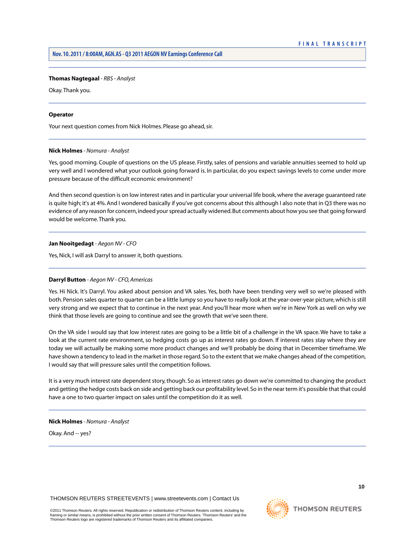## **Thomas Nagtegaal** *- RBS - Analyst*

Okay.Thank you.

# **Operator**

<span id="page-10-0"></span>Your next question comes from Nick Holmes. Please go ahead, sir.

#### **Nick Holmes** *- Nomura - Analyst*

Yes, good morning. Couple of questions on the US please. Firstly, sales of pensions and variable annuities seemed to hold up very well and I wondered what your outlook going forward is. In particular, do you expect savings levels to come under more pressure because of the difficult economic environment?

And then second question is on low interest rates and in particular your universal life book, where the average guaranteed rate is quite high; it's at 4%. And I wondered basically if you've got concerns about this although I also note that in Q3 there was no evidence of any reason for concern, indeed your spread actually widened. But comments about how you see that going forward would be welcome.Thank you.

# **Jan Nooitgedagt** *- Aegon NV - CFO*

Yes, Nick, I will ask Darryl to answer it, both questions.

# **Darryl Button** *- Aegon NV - CFO, Americas*

Yes. Hi Nick. It's Darryl. You asked about pension and VA sales. Yes, both have been trending very well so we're pleased with both. Pension sales quarter to quarter can be a little lumpy so you have to really look at the year-over-year picture, which is still very strong and we expect that to continue in the next year. And you'll hear more when we're in New York as well on why we think that those levels are going to continue and see the growth that we've seen there.

On the VA side I would say that low interest rates are going to be a little bit of a challenge in the VA space. We have to take a look at the current rate environment, so hedging costs go up as interest rates go down. If interest rates stay where they are today we will actually be making some more product changes and we'll probably be doing that in December timeframe. We have shown a tendency to lead in the market in those regard. So to the extent that we make changes ahead of the competition, I would say that will pressure sales until the competition follows.

It is a very much interest rate dependent story, though. So as interest rates go down we're committed to changing the product and getting the hedge costs back on side and getting back our profitability level. So in the near term it's possible that that could have a one to two quarter impact on sales until the competition do it as well.

#### **Nick Holmes** *- Nomura - Analyst*

Okay. And -- yes?

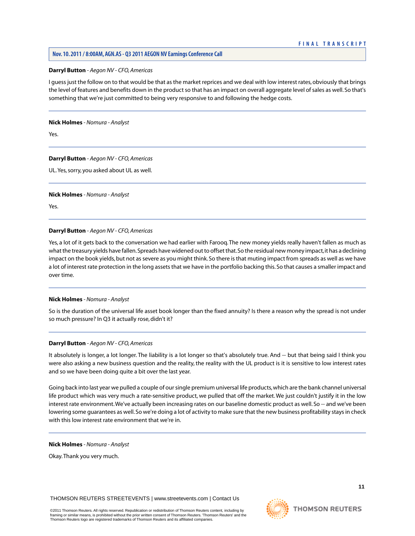# **Darryl Button** *- Aegon NV - CFO, Americas*

I guess just the follow on to that would be that as the market reprices and we deal with low interest rates, obviously that brings the level of features and benefits down in the product so that has an impact on overall aggregate level of sales as well. So that's something that we're just committed to being very responsive to and following the hedge costs.

#### **Nick Holmes** *- Nomura - Analyst*

Yes.

# **Darryl Button** *- Aegon NV - CFO, Americas*

UL.Yes, sorry, you asked about UL as well.

# **Nick Holmes** *- Nomura - Analyst*

Yes.

# **Darryl Button** *- Aegon NV - CFO, Americas*

Yes, a lot of it gets back to the conversation we had earlier with Farooq. The new money yields really haven't fallen as much as what the treasury yields have fallen. Spreads have widened out to offset that. So the residual new money impact, it has a declining impact on the book yields, but not as severe as you might think. So there is that muting impact from spreads as well as we have a lot of interest rate protection in the long assets that we have in the portfolio backing this. So that causes a smaller impact and over time.

# **Nick Holmes** *- Nomura - Analyst*

So is the duration of the universal life asset book longer than the fixed annuity? Is there a reason why the spread is not under so much pressure? In Q3 it actually rose, didn't it?

# **Darryl Button** *- Aegon NV - CFO, Americas*

It absolutely is longer, a lot longer. The liability is a lot longer so that's absolutely true. And -- but that being said I think you were also asking a new business question and the reality, the reality with the UL product is it is sensitive to low interest rates and so we have been doing quite a bit over the last year.

Going back into last year we pulled a couple of our single premium universal life products, which are the bank channel universal life product which was very much a rate-sensitive product, we pulled that off the market. We just couldn't justify it in the low interest rate environment. We've actually been increasing rates on our baseline domestic product as well. So -- and we've been lowering some guarantees as well. So we're doing a lot of activity to make sure that the new business profitability stays in check with this low interest rate environment that we're in.

# **Nick Holmes** *- Nomura - Analyst*

Okay.Thank you very much.

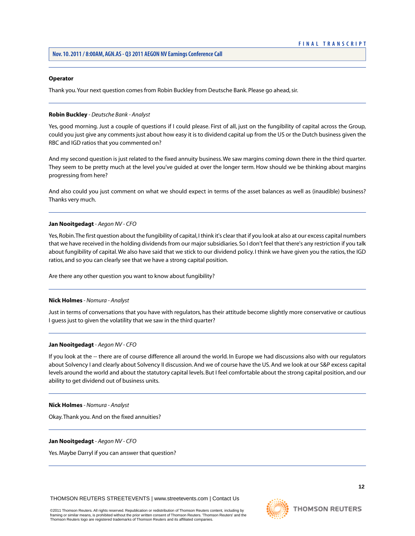#### **Operator**

Thank you.Your next question comes from Robin Buckley from Deutsche Bank. Please go ahead, sir.

# <span id="page-12-0"></span>**Robin Buckley** *- Deutsche Bank - Analyst*

Yes, good morning. Just a couple of questions if I could please. First of all, just on the fungibility of capital across the Group, could you just give any comments just about how easy it is to dividend capital up from the US or the Dutch business given the RBC and IGD ratios that you commented on?

And my second question is just related to the fixed annuity business. We saw margins coming down there in the third quarter. They seem to be pretty much at the level you've guided at over the longer term. How should we be thinking about margins progressing from here?

And also could you just comment on what we should expect in terms of the asset balances as well as (inaudible) business? Thanks very much.

# **Jan Nooitgedagt** *- Aegon NV - CFO*

Yes, Robin.The first question about the fungibility of capital, I think it's clear that if you look at also at our excess capital numbers that we have received in the holding dividends from our major subsidiaries. So I don't feel that there's any restriction if you talk about fungibility of capital. We also have said that we stick to our dividend policy. I think we have given you the ratios, the IGD ratios, and so you can clearly see that we have a strong capital position.

Are there any other question you want to know about fungibility?

### **Nick Holmes** *- Nomura - Analyst*

Just in terms of conversations that you have with regulators, has their attitude become slightly more conservative or cautious I guess just to given the volatility that we saw in the third quarter?

#### **Jan Nooitgedagt** *- Aegon NV - CFO*

If you look at the -- there are of course difference all around the world. In Europe we had discussions also with our regulators about Solvency I and clearly about Solvency II discussion. And we of course have the US. And we look at our S&P excess capital levels around the world and about the statutory capital levels. But I feel comfortable about the strong capital position, and our ability to get dividend out of business units.

#### **Nick Holmes** *- Nomura - Analyst*

Okay.Thank you. And on the fixed annuities?

#### **Jan Nooitgedagt** *- Aegon NV - CFO*

Yes. Maybe Darryl if you can answer that question?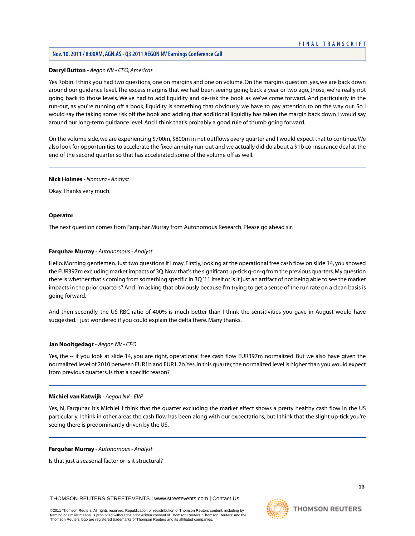# **Nov. 10. 2011 / 8:00AM, AGN.AS - Q3 2011 AEGON NV Earnings Conference Call**

# **Darryl Button** *- Aegon NV - CFO, Americas*

Yes Robin. I think you had two questions, one on margins and one on volume. On the margins question, yes, we are back down around our guidance level. The excess margins that we had been seeing going back a year or two ago, those, we're really not going back to those levels. We've had to add liquidity and de-risk the book as we've come forward. And particularly in the run-out, as you're running off a book, liquidity is something that obviously we have to pay attention to on the way out. So I would say the taking some risk off the book and adding that additional liquidity has taken the margin back down I would say around our long-term guidance level. And I think that's probably a good rule of thumb going forward.

On the volume side, we are experiencing \$700m, \$800m in net outflows every quarter and I would expect that to continue. We also look for opportunities to accelerate the fixed annuity run-out and we actually did do about a \$1b co-insurance deal at the end of the second quarter so that has accelerated some of the volume off as well.

#### **Nick Holmes** *- Nomura - Analyst*

Okay.Thanks very much.

#### **Operator**

<span id="page-13-0"></span>The next question comes from Farquhar Murray from Autonomous Research. Please go ahead sir.

# **Farquhar Murray** *- Autonomous - Analyst*

Hello. Morning gentlemen. Just two questions if I may. Firstly, looking at the operational free cash flow on slide 14, you showed the EUR397m excluding market impacts of 3Q. Now that's the significant up-tick q-on-q from the previous quarters. My question there is whether that's coming from something specific in 3Q '11 itself or is it just an artifact of not being able to see the market impacts in the prior quarters? And I'm asking that obviously because I'm trying to get a sense of the run rate on a clean basis is going forward.

And then secondly, the US RBC ratio of 400% is much better than I think the sensitivities you gave in August would have suggested. I just wondered if you could explain the delta there. Many thanks.

# **Jan Nooitgedagt** *- Aegon NV - CFO*

Yes, the -- if you look at slide 14, you are right, operational free cash flow EUR397m normalized. But we also have given the normalized level of 2010 between EUR1b and EUR1.2b.Yes, in this quarter, the normalized level is higher than you would expect from previous quarters. Is that a specific reason?

# **Michiel van Katwijk** *- Aegon NV - EVP*

Yes, hi, Farquhar. It's Michiel. I think that the quarter excluding the market effect shows a pretty healthy cash flow in the US particularly. I think in other areas the cash flow has been along with our expectations, but I think that the slight up-tick you're seeing there is predominantly driven by the US.

**Farquhar Murray** *- Autonomous - Analyst* 

Is that just a seasonal factor or is it structural?

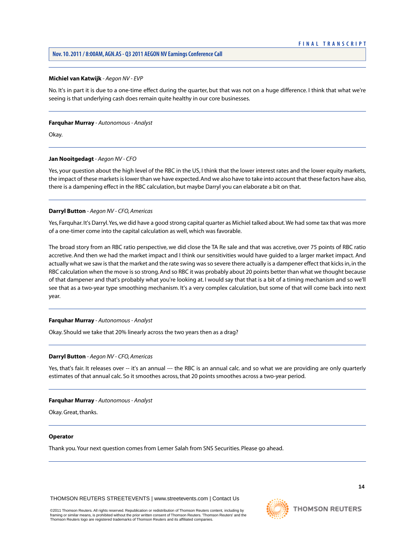# **Michiel van Katwijk** *- Aegon NV - EVP*

No. It's in part it is due to a one-time effect during the quarter, but that was not on a huge difference. I think that what we're seeing is that underlying cash does remain quite healthy in our core businesses.

## **Farquhar Murray** *- Autonomous - Analyst*

Okay.

# **Jan Nooitgedagt** *- Aegon NV - CFO*

Yes, your question about the high level of the RBC in the US, I think that the lower interest rates and the lower equity markets, the impact of these markets is lower than we have expected. And we also have to take into account that these factors have also, there is a dampening effect in the RBC calculation, but maybe Darryl you can elaborate a bit on that.

# **Darryl Button** *- Aegon NV - CFO, Americas*

Yes, Farquhar. It's Darryl.Yes, we did have a good strong capital quarter as Michiel talked about.We had some tax that was more of a one-timer come into the capital calculation as well, which was favorable.

The broad story from an RBC ratio perspective, we did close the TA Re sale and that was accretive, over 75 points of RBC ratio accretive. And then we had the market impact and I think our sensitivities would have guided to a larger market impact. And actually what we saw is that the market and the rate swing was so severe there actually is a dampener effect that kicks in, in the RBC calculation when the move is so strong. And so RBC it was probably about 20 points better than what we thought because of that dampener and that's probably what you're looking at. I would say that that is a bit of a timing mechanism and so we'll see that as a two-year type smoothing mechanism. It's a very complex calculation, but some of that will come back into next year.

# **Farquhar Murray** *- Autonomous - Analyst*

Okay. Should we take that 20% linearly across the two years then as a drag?

# **Darryl Button** *- Aegon NV - CFO, Americas*

Yes, that's fair. It releases over -- it's an annual --- the RBC is an annual calc. and so what we are providing are only quarterly estimates of that annual calc. So it smoothes across, that 20 points smoothes across a two-year period.

# **Farquhar Murray** *- Autonomous - Analyst*

Okay. Great, thanks.

# **Operator**

Thank you.Your next question comes from Lemer Salah from SNS Securities. Please go ahead.

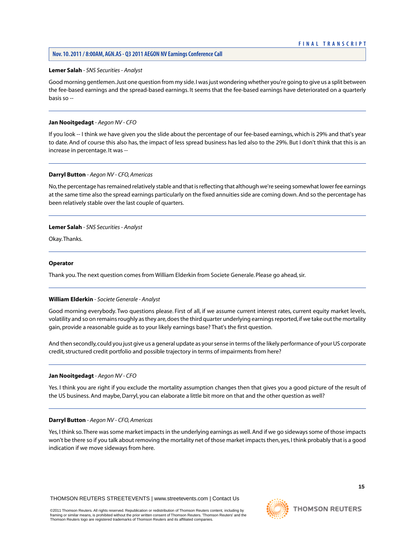# <span id="page-15-0"></span>**Lemer Salah** *- SNS Securities - Analyst*

Good morning gentlemen. Just one question from my side. I was just wondering whether you're going to give us a split between the fee-based earnings and the spread-based earnings. It seems that the fee-based earnings have deteriorated on a quarterly basis so -

# **Jan Nooitgedagt** *- Aegon NV - CFO*

If you look -- I think we have given you the slide about the percentage of our fee-based earnings, which is 29% and that's year to date. And of course this also has, the impact of less spread business has led also to the 29%. But I don't think that this is an increase in percentage. It was -

# **Darryl Button** *- Aegon NV - CFO, Americas*

No, the percentage has remained relatively stable and that is reflecting that although we're seeing somewhat lower fee earnings at the same time also the spread earnings particularly on the fixed annuities side are coming down. And so the percentage has been relatively stable over the last couple of quarters.

# **Lemer Salah** *- SNS Securities - Analyst*

Okay.Thanks.

#### **Operator**

<span id="page-15-1"></span>Thank you.The next question comes from William Elderkin from Societe Generale. Please go ahead, sir.

#### **William Elderkin** *- Societe Generale - Analyst*

Good morning everybody. Two questions please. First of all, if we assume current interest rates, current equity market levels, volatility and so on remains roughly as they are, does the third quarter underlying earnings reported, if we take out the mortality gain, provide a reasonable guide as to your likely earnings base? That's the first question.

And then secondly, could you just give us a general update as your sense in terms of the likely performance of your US corporate credit, structured credit portfolio and possible trajectory in terms of impairments from here?

#### **Jan Nooitgedagt** *- Aegon NV - CFO*

Yes. I think you are right if you exclude the mortality assumption changes then that gives you a good picture of the result of the US business. And maybe, Darryl, you can elaborate a little bit more on that and the other question as well?

# **Darryl Button** *- Aegon NV - CFO, Americas*

Yes, I think so.There was some market impacts in the underlying earnings as well. And if we go sideways some of those impacts won't be there so if you talk about removing the mortality net of those market impacts then, yes, I think probably that is a good indication if we move sideways from here.

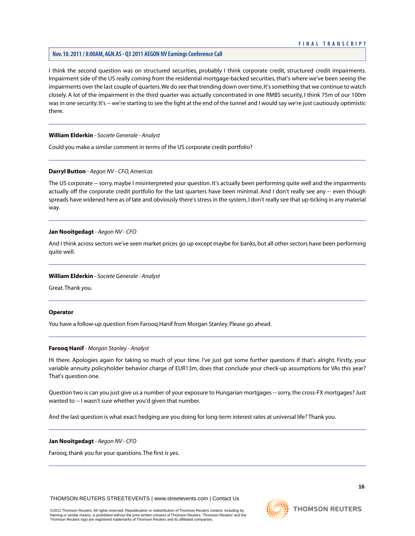# **Nov. 10. 2011 / 8:00AM, AGN.AS - Q3 2011 AEGON NV Earnings Conference Call**

I think the second question was on structured securities, probably I think corporate credit, structured credit impairments. Impairment side of the US really coming from the residential mortgage-backed securities, that's where we've been seeing the impairments over the last couple of quarters.We do see that trending down over time. It's something that we continue to watch closely. A lot of the impairment in the third quarter was actually concentrated in one RMBS security, I think 75m of our 100m was in one security. It's -- we're starting to see the light at the end of the tunnel and I would say we're just cautiously optimistic there.

# **William Elderkin** *- Societe Generale - Analyst*

Could you make a similar comment in terms of the US corporate credit portfolio?

# **Darryl Button** *- Aegon NV - CFO, Americas*

The US corporate -- sorry, maybe I misinterpreted your question. It's actually been performing quite well and the impairments actually off the corporate credit portfolio for the last quarters have been minimal. And I don't really see any -- even though spreads have widened here as of late and obviously there's stress in the system, I don't really see that up-ticking in any material way.

#### **Jan Nooitgedagt** *- Aegon NV - CFO*

And I think across sectors we've seen market prices go up except maybe for banks, but all other sectors have been performing quite well.

#### **William Elderkin** *- Societe Generale - Analyst*

Great. Thank you.

#### **Operator**

You have a follow-up question from Farooq Hanif from Morgan Stanley. Please go ahead.

# **Farooq Hanif** *- Morgan Stanley - Analyst*

Hi there. Apologies again for taking so much of your time. I've just got some further questions if that's alright. Firstly, your variable annuity policyholder behavior charge of EUR13m, does that conclude your check-up assumptions for VAs this year? That's question one.

Question two is can you just give us a number of your exposure to Hungarian mortgages -- sorry, the cross-FX mortgages? Just wanted to -- I wasn't sure whether you'd given that number.

And the last question is what exact hedging are you doing for long-term interest rates at universal life? Thank you.

#### **Jan Nooitgedagt** *- Aegon NV - CFO*

Farooq, thank you for your questions. The first is yes.

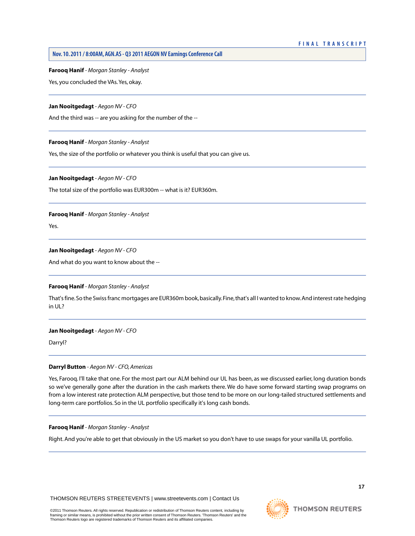**Nov. 10. 2011 / 8:00AM, AGN.AS - Q3 2011 AEGON NV Earnings Conference Call** 

**Farooq Hanif** *- Morgan Stanley - Analyst* 

Yes, you concluded the VAs.Yes, okay.

## **Jan Nooitgedagt** *- Aegon NV - CFO*

And the third was -- are you asking for the number of the --

#### **Farooq Hanif** *- Morgan Stanley - Analyst*

Yes, the size of the portfolio or whatever you think is useful that you can give us.

**Jan Nooitgedagt** *- Aegon NV - CFO* 

The total size of the portfolio was EUR300m -- what is it? EUR360m.

# **Farooq Hanif** *- Morgan Stanley - Analyst*

Yes.

# **Jan Nooitgedagt** *- Aegon NV - CFO*

And what do you want to know about the --

# **Farooq Hanif** *- Morgan Stanley - Analyst*

That's fine. So the Swiss franc mortgages are EUR360m book, basically. Fine, that's all I wanted to know. And interest rate hedging in UL?

# **Jan Nooitgedagt** *- Aegon NV - CFO*

Darryl?

# **Darryl Button** *- Aegon NV - CFO, Americas*

Yes, Farooq. I'll take that one. For the most part our ALM behind our UL has been, as we discussed earlier, long duration bonds so we've generally gone after the duration in the cash markets there. We do have some forward starting swap programs on from a low interest rate protection ALM perspective, but those tend to be more on our long-tailed structured settlements and long-term care portfolios. So in the UL portfolio specifically it's long cash bonds.

# **Farooq Hanif** *- Morgan Stanley - Analyst*

Right. And you're able to get that obviously in the US market so you don't have to use swaps for your vanilla UL portfolio.

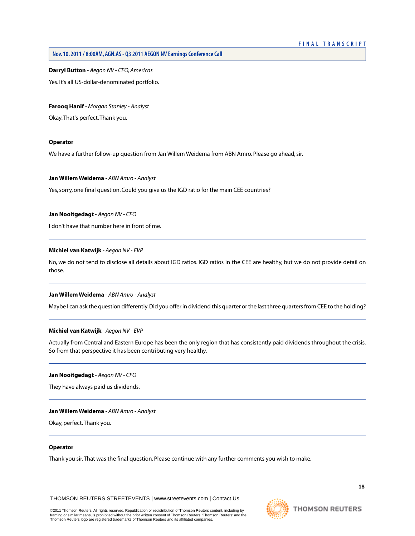**Darryl Button** *- Aegon NV - CFO, Americas* 

Yes. It's all US-dollar-denominated portfolio.

# **Farooq Hanif** *- Morgan Stanley - Analyst*

Okay.That's perfect.Thank you.

#### **Operator**

We have a further follow-up question from Jan Willem Weidema from ABN Amro. Please go ahead, sir.

# **Jan Willem Weidema** *- ABN Amro - Analyst*

Yes, sorry, one final question. Could you give us the IGD ratio for the main CEE countries?

# **Jan Nooitgedagt** *- Aegon NV - CFO*

I don't have that number here in front of me.

# **Michiel van Katwijk** *- Aegon NV - EVP*

No, we do not tend to disclose all details about IGD ratios. IGD ratios in the CEE are healthy, but we do not provide detail on those.

# **Jan Willem Weidema** *- ABN Amro - Analyst*

Maybe I can ask the question differently. Did you offer in dividend this quarter or the last three quarters from CEE to the holding?

# **Michiel van Katwijk** *- Aegon NV - EVP*

Actually from Central and Eastern Europe has been the only region that has consistently paid dividends throughout the crisis. So from that perspective it has been contributing very healthy.

# **Jan Nooitgedagt** *- Aegon NV - CFO*

They have always paid us dividends.

# **Jan Willem Weidema** *- ABN Amro - Analyst*

Okay, perfect.Thank you.

# **Operator**

Thank you sir.That was the final question. Please continue with any further comments you wish to make.